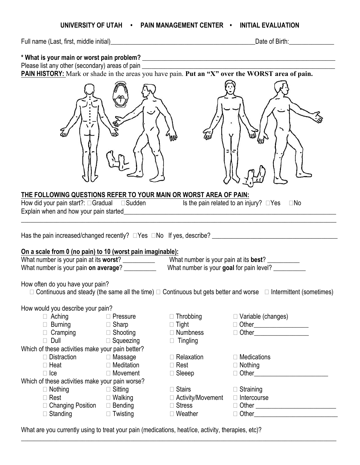### **UNIVERSITY OF UTAH • PAIN MANAGEMENT CENTER • INITIAL EVALUATION**

Full name (Last, first, middle initial)\_\_\_\_\_\_\_\_\_\_\_\_\_\_\_\_\_\_\_\_\_\_\_\_\_\_\_\_\_\_\_\_\_\_\_\_\_\_\_\_\_\_\_\_\_Date of Birth:\_\_\_\_\_\_\_\_\_\_\_\_\_\_

**\* What is your main or worst pain problem? \_\_\_\_\_\_\_\_\_\_\_\_\_\_\_\_\_\_\_\_\_\_\_\_\_\_\_\_\_\_\_\_\_\_\_\_\_\_\_\_\_\_\_\_\_\_\_\_\_\_\_\_\_\_\_\_\_\_\_\_** Please list any other (secondary) areas of pain

**PAIN HISTORY:** Mark or shade in the areas you have pain. **Put an "X" over the WORST area of pain.**





# **THE FOLLOWING QUESTIONS REFER TO YOUR MAIN OR WORST AREA OF PAIN:** How did your pain start?:  $\Box$  Gradual  $\Box$  Sudden Is the pain related to an injury?  $\Box$  Yes  $\Box$  No Explain when and how your pain started\_\_\_\_\_\_\_\_\_\_\_\_\_\_\_\_\_\_\_\_\_\_\_\_\_\_\_\_\_\_\_\_\_\_\_\_\_\_\_\_\_\_\_\_\_\_\_\_\_\_\_\_\_\_\_\_\_\_\_\_\_\_\_\_\_\_  $\_$  , and the set of the set of the set of the set of the set of the set of the set of the set of the set of the set of the set of the set of the set of the set of the set of the set of the set of the set of the set of th Has the pain increased/changed recently? Yes No If yes, describe? \_\_\_\_\_\_\_\_\_\_\_\_\_\_\_\_\_\_\_\_\_\_\_\_\_\_\_\_\_\_\_\_\_\_\_\_\_\_\_ **On a scale from 0 (no pain) to 10 (worst pain imaginable):** What number is your pain at its **worst**? What number is your pain at its **best**? What number is your pain **on average**? \_\_\_\_\_\_\_\_\_\_\_\_ What number is your **goal** for pain level? How often do you have your pain?  $\Box$  Continuous and steady (the same all the time)  $\Box$  Continuous but gets better and worse  $\Box$  Intermittent (sometimes) How would you describe your pain? □ Aching □ Pressure □ Throbbing □ Variable (changes) Burning Sharp Tight Other\_\_\_\_\_\_\_\_\_\_\_\_\_\_\_\_\_ Cramping Shooting Numbness Other\_\_\_\_\_\_\_\_\_\_\_\_\_\_\_\_\_ □ Dull □ Squeezing □ Tingling Which of these activities make your pain better? □ Distraction D Massage D Relaxation D Medications  $\Box$  Heat  $\Box$  Meditation  $\Box$  Rest  $\Box$  Nothing Ice Movement Sleeep Other\_\_\_\_\_\_\_\_\_\_\_\_\_\_\_\_\_\_\_\_\_\_\_

- Which of these activities make your pain worse?<br>  $\Box$  Nothing<br>  $\Box$  Rest<br>  $\Box$  Walking □ Nothing □ Sitting □ Stairs Straining □ Rest □ Walking □ Activity/Movement Intercourse
	- Changing Position Bending Stress Other \_\_\_\_\_\_\_\_\_\_\_\_\_\_\_\_\_\_\_\_\_\_\_\_\_
	- □ Standing □ Twisting □ Weather Other\_\_\_\_\_\_\_\_\_\_\_\_\_\_\_\_\_\_\_\_\_
- 
- 
- 
- 
- 
- 

 $\_$  , and the set of the set of the set of the set of the set of the set of the set of the set of the set of the set of the set of the set of the set of the set of the set of the set of the set of the set of the set of th

- 
- -
	-

What are you currently using to treat your pain (medications, heat/ice, activity, therapies, etc)?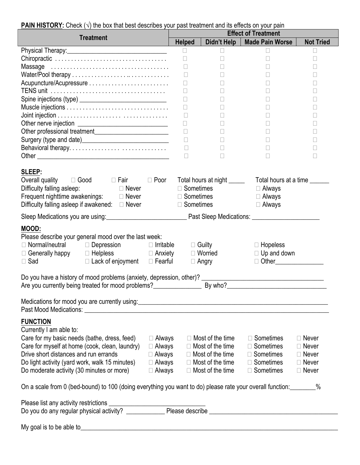| <b>Treatment</b>                                                                                                                                                                                                                    | <b>Helped</b>                     | Didn't Help                                     | <b>Made Pain Worse</b>                                           | <b>Not Tried</b> |  |
|-------------------------------------------------------------------------------------------------------------------------------------------------------------------------------------------------------------------------------------|-----------------------------------|-------------------------------------------------|------------------------------------------------------------------|------------------|--|
|                                                                                                                                                                                                                                     | $\Box$                            | $\Box$                                          | $\Box$                                                           | □                |  |
|                                                                                                                                                                                                                                     | $\Box$                            | Н                                               | $\mathbf{L}$                                                     | $\Box$           |  |
|                                                                                                                                                                                                                                     | $\Box$                            |                                                 |                                                                  | $\Box$           |  |
|                                                                                                                                                                                                                                     | $\Box$                            |                                                 | $\vert \ \ \vert$                                                | $\Box$           |  |
|                                                                                                                                                                                                                                     | $\Box$                            |                                                 |                                                                  | Ш                |  |
|                                                                                                                                                                                                                                     | $\Box$                            |                                                 | $\vert \ \ \vert$                                                | П                |  |
|                                                                                                                                                                                                                                     | $\Box$                            |                                                 |                                                                  | $\Box$           |  |
|                                                                                                                                                                                                                                     |                                   |                                                 |                                                                  | $\Box$           |  |
|                                                                                                                                                                                                                                     | $\Box$                            |                                                 | $\mathbf{L}$                                                     | $\mathbf{L}$     |  |
|                                                                                                                                                                                                                                     | $\Box$                            |                                                 | $\vert \ \ \vert$                                                | $\Box$           |  |
| Other professional treatment_____________________________                                                                                                                                                                           | $\Box$                            | П                                               | $\mathbf{L}$                                                     | П                |  |
| Surgery (type and date)___________________________________                                                                                                                                                                          | $\Box$                            | Н                                               | $\Box$                                                           | $\Box$           |  |
| Behavioral therapy                                                                                                                                                                                                                  | $\Box$                            |                                                 |                                                                  | $\mathbf{L}$     |  |
|                                                                                                                                                                                                                                     | $\Box$                            | П                                               | $\Box$                                                           | $\Box$           |  |
|                                                                                                                                                                                                                                     |                                   |                                                 |                                                                  |                  |  |
| <b>SLEEP:</b>                                                                                                                                                                                                                       |                                   |                                                 |                                                                  |                  |  |
| Overall quality $\Box$ Good $\Box$ Fair $\Box$ Poor                                                                                                                                                                                 |                                   |                                                 | Total hours at night _________ Total hours at a time _______     |                  |  |
| □ Never                                                                                                                                                                                                                             |                                   | $\Box$ Sometimes                                |                                                                  |                  |  |
| Difficulty falling asleep:<br>Frequent nighttime awakenings: Divever                                                                                                                                                                |                                   |                                                 | $\Box$ Always                                                    |                  |  |
|                                                                                                                                                                                                                                     |                                   | □ Sometimes                                     | $\Box$ Always                                                    |                  |  |
| Difficulty falling asleep if awakened: $\Box$ Never                                                                                                                                                                                 | $\Box$ Sometimes<br>$\Box$ Always |                                                 |                                                                  |                  |  |
|                                                                                                                                                                                                                                     |                                   |                                                 |                                                                  |                  |  |
| MOOD:<br>Please describe your general mood over the last week:<br>$\Box$ Normal/neutral $\Box$ Depression $\Box$ Irritable<br>□ Helpless □ Anxiety<br>□ Generally happy<br>$\Box$ Lack of enjoyment $\Box$ Fearful<br>$\square$ Sad |                                   | $\Box$ Guilty<br>$\Box$ Worried<br>$\Box$ Angry | $\Box$ Hopeless<br>$\Box$ Up and down<br>□ Other________________ |                  |  |
|                                                                                                                                                                                                                                     |                                   |                                                 |                                                                  |                  |  |
|                                                                                                                                                                                                                                     |                                   |                                                 |                                                                  |                  |  |
| Medications for mood you are currently using:                                                                                                                                                                                       |                                   |                                                 |                                                                  |                  |  |
|                                                                                                                                                                                                                                     |                                   |                                                 |                                                                  |                  |  |
| <b>FUNCTION</b><br>Currently I am able to:<br>Care for my basic needs (bathe, dress, feed)<br>$\Box$ Always                                                                                                                         |                                   | $\Box$ Most of the time                         | $\Box$ Sometimes                                                 | $\Box$ Never     |  |
| Care for myself at home (cook, clean, laundry)<br>$\Box$ Always                                                                                                                                                                     |                                   | $\Box$ Most of the time                         | $\Box$ Sometimes                                                 | $\Box$ Never     |  |
| Drive short distances and run errands<br>$\Box$ Always                                                                                                                                                                              |                                   | $\Box$ Most of the time                         | $\Box$ Sometimes                                                 | $\Box$ Never     |  |
|                                                                                                                                                                                                                                     |                                   | $\Box$ Most of the time                         | □ Sometimes                                                      | $\Box$ Never     |  |
| Do light activity (yard work, walk 15 minutes)<br>$\Box$ Always                                                                                                                                                                     |                                   |                                                 | $\Box$ Sometimes                                                 |                  |  |
| Do moderate activity (30 minutes or more)<br>$\Box$ Always                                                                                                                                                                          |                                   | $\Box$ Most of the time                         |                                                                  | $\Box$ Never     |  |
| On a scale from 0 (bed-bound) to 100 (doing everything you want to do) please rate your overall function: \,\,                                                                                                                      |                                   |                                                 |                                                                  |                  |  |
|                                                                                                                                                                                                                                     |                                   |                                                 |                                                                  |                  |  |
|                                                                                                                                                                                                                                     |                                   |                                                 |                                                                  |                  |  |
|                                                                                                                                                                                                                                     |                                   |                                                 |                                                                  |                  |  |
|                                                                                                                                                                                                                                     |                                   |                                                 |                                                                  |                  |  |

# **PAIN HISTORY:** Check (√) the box that best describes your past treatment and its effects on your pain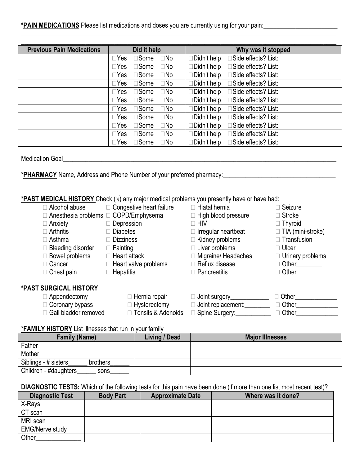# **\*PAIN MEDICATIONS** Please list medications and doses you are currently using for your pain:\_\_\_\_\_\_\_\_\_\_\_\_\_\_\_\_\_\_\_\_\_\_\_

| <b>Previous Pain Medications</b> | Did it help                                     | Why was it stopped                   |
|----------------------------------|-------------------------------------------------|--------------------------------------|
|                                  | □Some<br>$\Box$ Yes<br>$\Box$ No                | ∃Side effects? List:<br>∃Didn't help |
|                                  | □Some<br>$\square$ No<br>$\Box$ Yes             | ∃Didn't help<br>∃Side effects? List: |
|                                  | $\square$ No<br>$\square$ Some<br>$\square$ Yes | ∃Side effects? List:<br>∃Didn't help |
|                                  | $\square$ No<br>$\square$ Some<br>$\Box Y$ es   | ∃Didn't help<br>∃Side effects? List: |
|                                  | $\square$ No<br>□Some<br>$\square$ Yes          | □Didn't help<br>∃Side effects? List: |
|                                  | □Some<br>⊡No<br>$\square$ Yes                   | □Didn't help<br>∃Side effects? List: |
|                                  | $\square$ No<br>□Some<br>$\Box$ Yes             | □Didn't help<br>∃Side effects? List: |
|                                  | □Some<br>$\square$ No<br>$\Box$ Yes             | □Didn't help<br>∃Side effects? List: |
|                                  | □Some<br>$\Box$ No<br>$\Box$ Yes                | ∃Didn't help<br>∃Side effects? List: |
|                                  | □Some<br>$\square$ No<br>$\Box$ Yes             | ∃Side effects? List:<br>∃Didn't help |
|                                  | □Some<br>$\Box$ No<br>$\Box$ Yes                | ∃Didn't help<br>∃Side effects? List: |

 $\overline{\phantom{a}}$  , and the contribution of the contribution of the contribution of the contribution of the contribution of the contribution of the contribution of the contribution of the contribution of the contribution of the

**\_\_\_\_\_\_\_\_\_\_\_\_\_\_\_\_\_\_\_\_\_\_\_\_\_\_\_\_\_\_\_\_\_\_\_\_\_\_\_\_\_\_\_\_\_\_\_\_\_\_\_\_\_\_\_\_\_\_\_\_\_\_\_\_\_\_\_\_\_\_\_\_\_\_\_\_\_\_\_\_\_\_\_\_\_\_\_\_\_\_\_\_\_\_\_\_\_\_**

Medication Goal

\***PHARMACY** Name, Address and Phone Number of your preferred pharmacy:\_\_\_\_\_\_\_\_\_\_\_\_\_\_\_\_\_\_\_\_\_\_\_\_\_\_\_\_\_\_\_\_\_\_\_

# **\*PAST MEDICAL HISTORY** Check (√) any major medical problems you presently have or have had:

| □ Alcohol abuse                                  | □ Congestive heart failure  | $\Box$ Hiatal hernia       | $\Box$ Seizure           |
|--------------------------------------------------|-----------------------------|----------------------------|--------------------------|
| $\Box$ Anesthesia problems $\Box$ COPD/Emphysema |                             | $\Box$ High blood pressure | $\Box$ Stroke            |
| □ Anxiety                                        | □ Depression                | $\square$ HIV              | $\Box$ Thyroid           |
| $\Box$ Arthritis                                 | $\Box$ Diabetes             | $\Box$ Irregular heartbeat | $\Box$ TIA (mini-stroke) |
| $\Box$ Asthma                                    | $\Box$ Dizziness            | $\Box$ Kidney problems     | $\Box$ Transfusion       |
| Bleeding disorder                                | $\Box$ Fainting             | $\Box$ Liver problems      | $\Box$ Ulcer             |
| $\Box$ Bowel problems                            | $\Box$ Heart attack         | $\Box$ Migraine/ Headaches | $\Box$ Urinary problems  |
| $\sqsupset$ Cancer                               | $\Box$ Heart valve problems | $\Box$ Reflux disease      | $\Box$ Other $\Box$      |
| $\Box$ Chest pain                                | $\Box$ Hepatitis            | $\Box$ Pancreatitis        | $\Box$ Other             |
| *PAST SURGICAL HISTORY                           |                             |                            |                          |
| $\Box$ Appendectomy                              | $\Box$ Hernia repair        | $\Box$ Joint surgery       | Other                    |
| $\Box$ Coronary bypass                           | $\Box$ Hysterectomy         | □ Joint replacement:       | $\Box$ Other             |
| Gall bladder removed                             | □ Tonsils & Adenoids        | □ Spine Surgery:           | $\Box$ Other             |

# **\*FAMILY HISTORY** List illnesses that run in your family

| <b>Family (Name)</b>              | Living / Dead | <b>Major Illnesses</b> |
|-----------------------------------|---------------|------------------------|
| Father                            |               |                        |
| Mother                            |               |                        |
| Siblings - # sisters_<br>brothers |               |                        |
| Children - #daughters<br>sons     |               |                        |

### **DIAGNOSTIC TESTS:** Which of the following tests for this pain have been done (if more than one list most recent test)?

| <b>Diagnostic Test</b> | <b>Body Part</b> | <b>Approximate Date</b> | Where was it done? |
|------------------------|------------------|-------------------------|--------------------|
| X-Rays                 |                  |                         |                    |
| CT scan                |                  |                         |                    |
| MRI scan               |                  |                         |                    |
| <b>EMG/Nerve study</b> |                  |                         |                    |
| Other                  |                  |                         |                    |